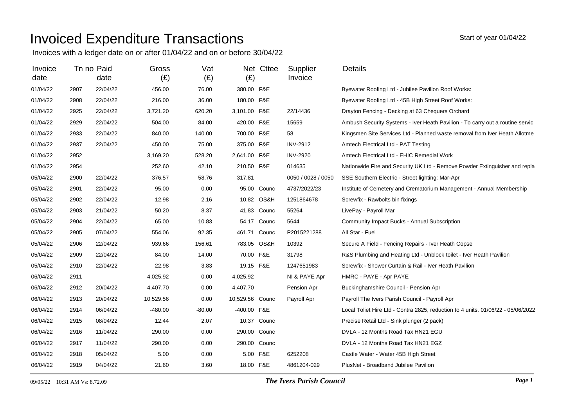## Invoiced Expenditure Transactions

Invoices with a ledger date on or after 01/04/22 and on or before 30/04/22

| Invoice  |      | Tn no Paid | Gross     | Vat      |                 | Net Cttee   | Supplier           | <b>Details</b>                                                                   |
|----------|------|------------|-----------|----------|-----------------|-------------|--------------------|----------------------------------------------------------------------------------|
| date     |      | date       | (E)       | (E)      | (E)             |             | Invoice            |                                                                                  |
| 01/04/22 | 2907 | 22/04/22   | 456.00    | 76.00    | 380.00 F&E      |             |                    | Byewater Roofing Ltd - Jubilee Pavilion Roof Works:                              |
| 01/04/22 | 2908 | 22/04/22   | 216.00    | 36.00    | 180.00 F&E      |             |                    | Byewater Roofing Ltd - 45B High Street Roof Works:                               |
| 01/04/22 | 2925 | 22/04/22   | 3,721.20  | 620.20   | 3,101.00 F&E    |             | 22/14436           | Drayton Fencing - Decking at 63 Chequers Orchard                                 |
| 01/04/22 | 2929 | 22/04/22   | 504.00    | 84.00    | 420.00 F&E      |             | 15659              | Ambush Security Systems - Iver Heath Pavilion - To carry out a routine servic    |
| 01/04/22 | 2933 | 22/04/22   | 840.00    | 140.00   | 700.00 F&E      |             | 58                 | Kingsmen Site Services Ltd - Planned waste removal from Iver Heath Allotme       |
| 01/04/22 | 2937 | 22/04/22   | 450.00    | 75.00    | 375.00 F&E      |             | <b>INV-2912</b>    | Amtech Electrical Ltd - PAT Testing                                              |
| 01/04/22 | 2952 |            | 3,169.20  | 528.20   | 2,641.00 F&E    |             | <b>INV-2920</b>    | Amtech Electrical Ltd - EHIC Remedial Work                                       |
| 01/04/22 | 2954 |            | 252.60    | 42.10    | 210.50 F&E      |             | 014635             | Nationwide Fire and Security UK Ltd - Remove Powder Extinguisher and repla       |
| 05/04/22 | 2900 | 22/04/22   | 376.57    | 58.76    | 317.81          |             | 0050 / 0028 / 0050 | SSE Southern Electric - Street lighting: Mar-Apr                                 |
| 05/04/22 | 2901 | 22/04/22   | 95.00     | 0.00     |                 | 95.00 Counc | 4737/2022/23       | Institute of Cemetery and Crematorium Management - Annual Membership             |
| 05/04/22 | 2902 | 22/04/22   | 12.98     | 2.16     |                 | 10.82 OS&H  | 1251864678         | Screwfix - Rawbolts bin fixings                                                  |
| 05/04/22 | 2903 | 21/04/22   | 50.20     | 8.37     |                 | 41.83 Counc | 55264              | LivePay - Payroll Mar                                                            |
| 05/04/22 | 2904 | 22/04/22   | 65.00     | 10.83    |                 | 54.17 Counc | 5644               | Community Impact Bucks - Annual Subscription                                     |
| 05/04/22 | 2905 | 07/04/22   | 554.06    | 92.35    | 461.71 Counc    |             | P2015221288        | All Star - Fuel                                                                  |
| 05/04/22 | 2906 | 22/04/22   | 939.66    | 156.61   | 783.05 OS&H     |             | 10392              | Secure A Field - Fencing Repairs - Iver Heath Copse                              |
| 05/04/22 | 2909 | 22/04/22   | 84.00     | 14.00    | 70.00 F&E       |             | 31798              | R&S Plumbing and Heating Ltd - Unblock toilet - Iver Heath Pavilion              |
| 05/04/22 | 2910 | 22/04/22   | 22.98     | 3.83     | 19.15 F&E       |             | 1247651983         | Screwfix - Shower Curtain & Rail - Iver Heath Pavilion                           |
| 06/04/22 | 2911 |            | 4,025.92  | 0.00     | 4,025.92        |             | NI & PAYE Apr      | HMRC - PAYE - Apr PAYE                                                           |
| 06/04/22 | 2912 | 20/04/22   | 4,407.70  | 0.00     | 4,407.70        |             | Pension Apr        | Buckinghamshire Council - Pension Apr                                            |
| 06/04/22 | 2913 | 20/04/22   | 10,529.56 | 0.00     | 10,529.56 Counc |             | Payroll Apr        | Payroll The Ivers Parish Council - Payroll Apr                                   |
| 06/04/22 | 2914 | 06/04/22   | $-480.00$ | $-80.00$ | -400.00 F&E     |             |                    | Local Toliet Hire Ltd - Contra 2825, reduction to 4 units. 01/06/22 - 05/06/2022 |
| 06/04/22 | 2915 | 08/04/22   | 12.44     | 2.07     |                 | 10.37 Counc |                    | Precise Retail Ltd - Sink plunger (2 pack)                                       |
| 06/04/22 | 2916 | 11/04/22   | 290.00    | 0.00     | 290.00 Counc    |             |                    | DVLA - 12 Months Road Tax HN21 EGU                                               |
| 06/04/22 | 2917 | 11/04/22   | 290.00    | 0.00     | 290.00 Counc    |             |                    | DVLA - 12 Months Road Tax HN21 EGZ                                               |
| 06/04/22 | 2918 | 05/04/22   | 5.00      | 0.00     |                 | 5.00 F&E    | 6252208            | Castle Water - Water 45B High Street                                             |
| 06/04/22 | 2919 | 04/04/22   | 21.60     | 3.60     | 18.00 F&E       |             | 4861204-029        | PlusNet - Broadband Jubilee Pavilion                                             |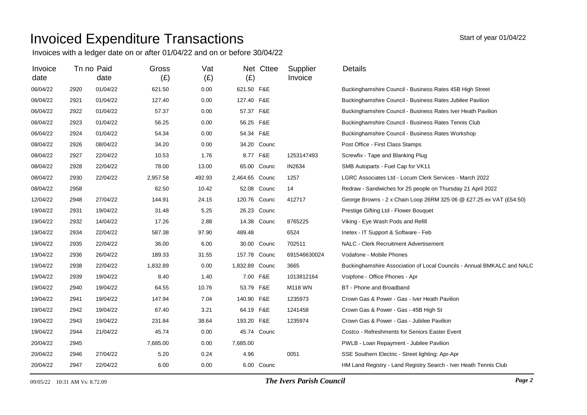## Invoiced Expenditure Transactions

Invoices with a ledger date on or after 01/04/22 and on or before 30/04/22

| Invoice<br>date |      | Tn no Paid<br>date | Gross<br>(E) | Vat<br>(E) | (E)            | Net Cttee   | Supplier<br>Invoice | Details                                                                |
|-----------------|------|--------------------|--------------|------------|----------------|-------------|---------------------|------------------------------------------------------------------------|
| 06/04/22        | 2920 | 01/04/22           | 621.50       | 0.00       | 621.50 F&E     |             |                     | Buckinghamshire Council - Business Rates 45B High Street               |
| 06/04/22        | 2921 | 01/04/22           | 127.40       | 0.00       | 127.40 F&E     |             |                     | Buckinghamshire Council - Business Rates Jubilee Pavilion              |
| 06/04/22        | 2922 | 01/04/22           | 57.37        | 0.00       | 57.37 F&E      |             |                     | Buckinghamshire Council - Business Rates Iver Heath Pavilion           |
| 06/04/22        | 2923 | 01/04/22           | 56.25        | 0.00       | 56.25 F&E      |             |                     | Buckinghamshire Council - Business Rates Tennis Club                   |
| 06/04/22        | 2924 | 01/04/22           | 54.34        | 0.00       | 54.34 F&E      |             |                     | Buckinghamshire Council - Business Rates Workshop                      |
| 08/04/22        | 2926 | 08/04/22           | 34.20        | 0.00       |                | 34.20 Counc |                     | Post Office - First Class Stamps                                       |
| 08/04/22        | 2927 | 22/04/22           | 10.53        | 1.76       | 8.77 F&E       |             | 1253147493          | Screwfix - Tape and Blanking Plug                                      |
| 08/04/22        | 2928 | 22/04/22           | 78.00        | 13.00      |                | 65.00 Counc | IN2634              | SMB Autoparts - Fuel Cap for VK11                                      |
| 08/04/22        | 2930 | 22/04/22           | 2,957.58     | 492.93     | 2,464.65 Counc |             | 1257                | LGRC Associates Ltd - Locum Clerk Services - March 2022                |
| 08/04/22        | 2958 |                    | 62.50        | 10.42      |                | 52.08 Counc | 14                  | Redraw - Sandwiches for 25 people on Thursday 21 April 2022            |
| 12/04/22        | 2948 | 27/04/22           | 144.91       | 24.15      | 120.76 Counc   |             | 412717              | George Browns - 2 x Chain Loop 26RM 325 06 @ £27.25 ex VAT (£54.50)    |
| 19/04/22        | 2931 | 19/04/22           | 31.48        | 5.25       |                | 26.23 Counc |                     | Prestige Gifting Ltd - Flower Bouquet                                  |
| 19/04/22        | 2932 | 14/04/22           | 17.26        | 2.88       |                | 14.38 Counc | 8765225             | Viking - Eye Wash Pods and Refill                                      |
| 19/04/22        | 2934 | 22/04/22           | 587.38       | 97.90      | 489.48         |             | 6524                | Inetex - IT Support & Software - Feb                                   |
| 19/04/22        | 2935 | 22/04/22           | 36.00        | 6.00       |                | 30.00 Counc | 702511              | NALC - Clerk Recruitment Advertisement                                 |
| 19/04/22        | 2936 | 26/04/22           | 189.33       | 31.55      | 157.78 Counc   |             | 691546630024        | Vodafone - Mobile Phones                                               |
| 19/04/22        | 2938 | 22/04/22           | 1,832.89     | 0.00       | 1,832.89 Counc |             | 3665                | Buckinghamshire Association of Local Councils - Annual BMKALC and NALC |
| 19/04/22        | 2939 | 19/04/22           | 8.40         | 1.40       | 7.00 F&E       |             | 1013812164          | Voipfone - Office Phones - Apr                                         |
| 19/04/22        | 2940 | 19/04/22           | 64.55        | 10.76      | 53.79 F&E      |             | <b>M118 WN</b>      | BT - Phone and Broadband                                               |
| 19/04/22        | 2941 | 19/04/22           | 147.94       | 7.04       | 140.90 F&E     |             | 1235973             | Crown Gas & Power - Gas - Iver Heath Pavilion                          |
| 19/04/22        | 2942 | 19/04/22           | 67.40        | 3.21       | 64.19 F&E      |             | 1241458             | Crown Gas & Power - Gas - 45B High St                                  |
| 19/04/22        | 2943 | 19/04/22           | 231.84       | 38.64      | 193.20 F&E     |             | 1235974             | Crown Gas & Power - Gas - Jubilee Pavilion                             |
| 19/04/22        | 2944 | 21/04/22           | 45.74        | 0.00       |                | 45.74 Counc |                     | Costco - Refreshments for Seniors Easter Event                         |
| 20/04/22        | 2945 |                    | 7,685.00     | 0.00       | 7,685.00       |             |                     | PWLB - Loan Repayment - Jubilee Pavilion                               |
| 20/04/22        | 2946 | 27/04/22           | 5.20         | 0.24       | 4.96           |             | 0051                | SSE Southern Electric - Street lighting: Apr-Apr                       |
| 20/04/22        | 2947 | 22/04/22           | 6.00         | 0.00       |                | 6.00 Counc  |                     | HM Land Registry - Land Registry Search - Iver Heath Tennis Club       |